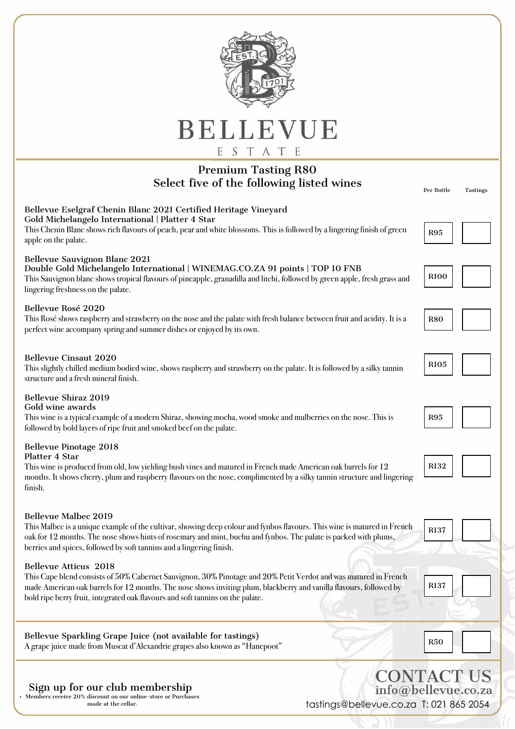| BELLEVUE<br>ESTATE                                                                                                                                                                                                                                                                                                                                       |                               |  |
|----------------------------------------------------------------------------------------------------------------------------------------------------------------------------------------------------------------------------------------------------------------------------------------------------------------------------------------------------------|-------------------------------|--|
| <b>Premium Tasting R80</b><br>Select five of the following listed wines                                                                                                                                                                                                                                                                                  | Per Bottle<br><b>Tastings</b> |  |
| Bellevue Eselgraf Chenin Blanc 2021 Certified Heritage Vineyard<br>Gold Michelangelo International   Platter 4 Star<br>This Chenin Blanc shows rich flavours of peach, pear and white blossoms. This is followed by a lingering finish of green<br>apple on the palate.                                                                                  | <b>R95</b>                    |  |
| Bellevue Sauvignon Blanc 2021<br>Double Gold Michelangelo International   WINEMAG.CO.ZA 91 points   TOP 10 FNB<br>This Sauvignon blanc shows tropical flavours of pineapple, granadilla and litchi, followed by green apple, fresh grass and<br>lingering freshness on the palate.                                                                       | <b>R100</b>                   |  |
| Bellevue Rosé 2020<br>This Rosé shows raspberry and strawberry on the nose and the palate with fresh balance between fruit and acidity. It is a<br>perfect wine accompany spring and summer dishes or enjoyed by its own.                                                                                                                                | <b>R80</b>                    |  |
| <b>Bellevue Cinsaut 2020</b><br>This slightly chilled medium bodied wine, shows raspberry and strawberry on the palate. It is followed by a silky tannin<br>structure and a fresh mineral finish.                                                                                                                                                        | <b>R105</b>                   |  |
| <b>Bellevue Shiraz 2019</b><br>Gold wine awards<br>This wine is a typical example of a modern Shiraz, showing mocha, wood smoke and mulberries on the nose. This is<br>followed by bold layers of ripe fruit and smoked beef on the palate.                                                                                                              | <b>R95</b>                    |  |
| <b>Bellevue Pinotage 2018</b><br>Platter 4 Star<br>This wine is produced from old, low yielding bush vines and matured in French made American oak barrels for 12<br>months. It shows cherry, plum and raspberry flavours on the nose, complimented by a silky tannin structure and lingering<br>finish.                                                 | R132                          |  |
| <b>Bellevue Malbec 2019</b><br>This Malbec is a unique example of the cultivar, showing deep colour and fynbos flavours. This wine is matured in French<br>oak for 12 months. The nose shows hints of rosemary and mint, buchu and fynbos. The palate is packed with plums,<br>berries and spices, followed by soft tannins and a lingering finish.      | R137                          |  |
| <b>Bellevue Atticus 2018</b><br>This Cape blend consists of 50% Cabernet Sauvignon, 30% Pinotage and 20% Petit Verdot and was matured in French<br>made American oak barrels for 12 months. The nose shows inviting plum, blackberry and vanilla flavours, followed by<br>bold ripe berry fruit, integrated oak flavours and soft tannins on the palate. | R137                          |  |
| Bellevue Sparkling Grape Juice (not available for tastings)<br>A grape juice made from Muscat d'Alexandrie grapes also known as "Hanepoot"                                                                                                                                                                                                               | <b>R50</b>                    |  |
| <b>CONTACT US</b><br>Sign up for our club membership<br>info@bellevue.co.za<br>Members receive 20% discount on our online-store or Purchases                                                                                                                                                                                                             |                               |  |

made at the cellar.

## tastings@bellevue.co.za T: 021 865 2054

 $\overline{\phantom{a}}$